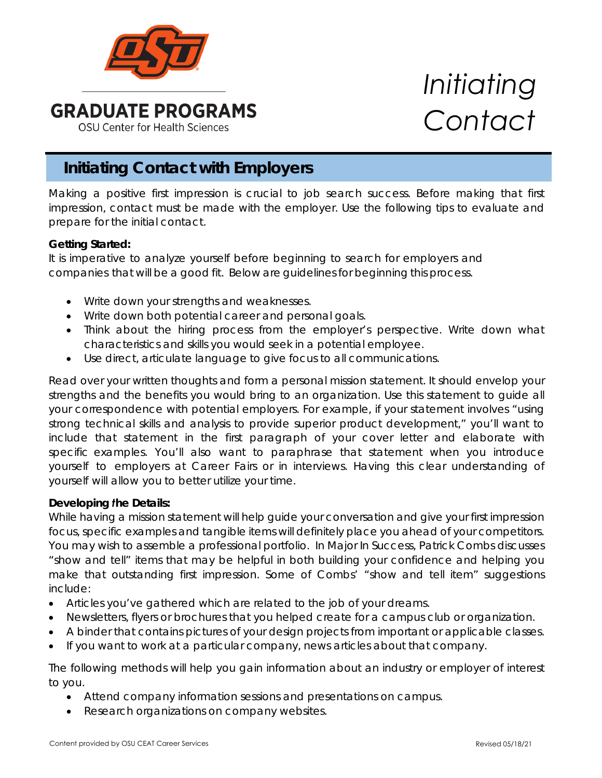

# **Initiating Contact with Employers**

Making a positive first impression is crucial to job search success. Before making that first impression, contact must be made with the employer. Use the following tips to evaluate and prepare for the initial contact.

### *Getting Started:*

It is imperative to analyze yourself before beginning to search for employers and companies that will be a good fit. Below are guidelines for beginning this process.

- Write down your strengths and weaknesses.
- Write down both potential career and personal goals.
- Think about the hiring process from the employer's perspective. Write down what characteristics and skills you would seek in a potential employee.
- Use direct, articulate language to give focus to all communications.

Read over your written thoughts and form a personal mission statement. It should envelop your strengths and the benefits you would bring to an organization. Use this statement to guide all your correspondence with potential employers. For example, if your statement involves "using strong technical skills and analysis to provide superior product development," you'll want to include that statement in the first paragraph of your cover letter and elaborate with specific examples. You'll also want to paraphrase that statement when you introduce yourself to employers at Career Fairs or in interviews. Having this clear understanding of yourself will allow you to better utilize your time.

### *Developing the Details:*

While having a mission statement will help guide your conversation and give your first impression focus, specific examples and tangible items will definitely place you ahead of your competitors. You may wish to assemble a professional portfolio. In *Major In Success,* Patrick Combs discusses "show and tell" items that may be helpful in both building your confidence and helping you make that outstanding first impression. Some of Combs' "show and tell item" suggestions include:

- Articles you've gathered which are related to the job of your dreams.
- Newsletters, flyers or brochures that you helped create for a campus club or organization.
- A binder that contains pictures of your design projects from important or applicable classes.
- If you want to work at a particular company, news articles about that company.

The following methods will help you gain information about an industry or employer of interest to you.

- Attend company information sessions and presentations on campus.
- Research organizations on company websites.